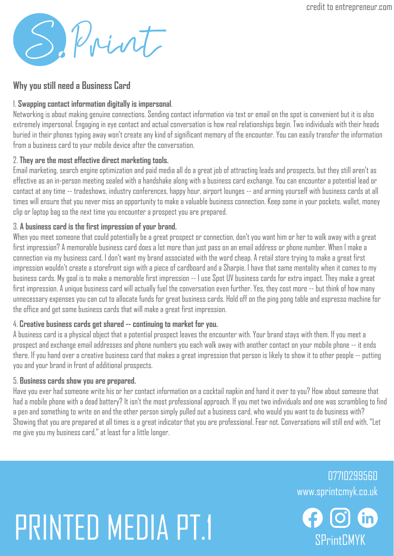SePrint

### **Why you still need a Business Card**

#### 1. **Swapping contact information digitally is impersonal**.

Networking is about making genuine connections. Sending contact information via text or email on the spot is convenient but it is also extremely impersonal. Engaging in eye contact and actual conversation is how real relationships begin. Two individuals with their heads buried in their phones typing away won't create any kind of significant memory of the encounter. You can easily transfer the information from a business card to your mobile device after the conversation.

#### 2. **They are the most effective direct marketing tools.**

Email marketing, search engine optimization and paid media all do a great job of attracting leads and prospects, but they still aren't as effective as an in-person meeting sealed with a handshake along with a business card exchange. You can encounter a potential lead or contact at any time -- tradeshows, industry conferences, happy hour, airport lounges -- and arming yourself with business cards at all times will ensure that you never miss an opportunity to make a valuable business connection. Keep some in your pockets, wallet, money clip or laptop bag so the next time you encounter a prospect you are prepared.

#### 3. **A business card is the first impression of your brand.**

When you meet someone that could potentially be a great prospect or connection, don't you want him or her to walk away with a great first impression? A memorable business card does a lot more than just pass on an email address or phone number. When I make a connection via my business card, I don't want my brand associated with the word cheap. A retail store trying to make a great first impression wouldn't create a storefront sign with a piece of cardboard and a Sharpie. I have that same mentality when it comes to my business cards. My goal is to make a memorable first impression -- I use Spot UV business cards for extra impact. They make a great first impression. A unique business card will actually fuel the conversation even further. Yes, they cost more -- but think of how many unnecessary expenses you can cut to allocate funds for great business cards. Hold off on the ping pong table and espresso machine for the office and get some business cards that will make a great first impression.

#### 4. **Creative business cards get shared -- continuing to market for you.**

A business card is a physical object that a potential prospect leaves the encounter with. Your brand stays with them. If you meet a prospect and exchange email addresses and phone numbers you each walk away with another contact on your mobile phone -- it ends there. If you hand over a creative business card that makes a great impression that person is likely to show it to other people -- putting you and your brand in front of additional prospects.

#### 5. **Business cards show you are prepared.**

Have you ever had someone write his or her contact information on a cocktail napkin and hand it over to you? How about someone that had a mobile phone with a dead battery? It isn't the most professional approach. If you met two individuals and one was scrambling to find a pen and something to write on and the other person simply pulled out a business card, who would you want to do business with? Showing that you are prepared at all times is a great indicator that you are professional. Fear not. Conversations will still end with, "Let me give you my business card," at least for a little longer.

## PRINTED MEDIA PT.1 SPRINTED MEDIA PT.1

www.sprintcmyk.co.uk 07710299560